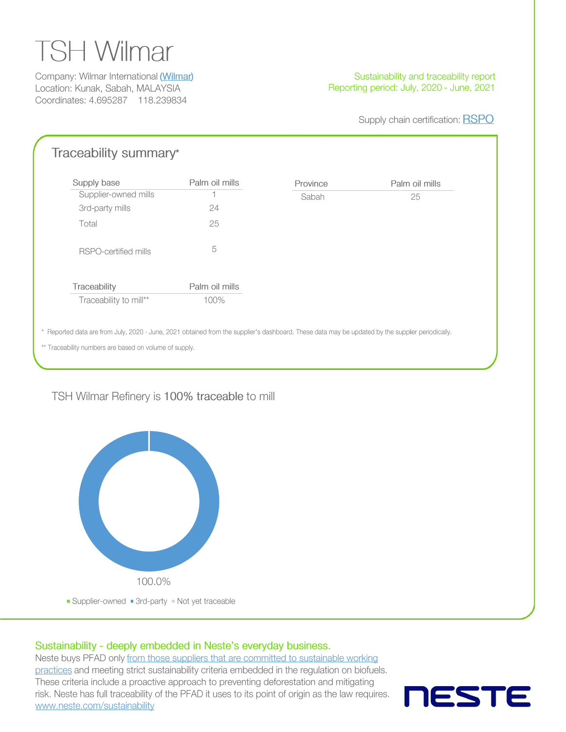## **TSH Wilmar**

Company: Wilmar International (Wilmar) Location: Kunak, Sabah, MALAYSIA Coordinates: 4.695287 118.239834

## Sustainability and traceability report Reporting period: July, 2020 - June, 2021

Supply chain certification: RSPO

| Supply base                                            | Palm oil mills                                                                                                                                   | Province | Palm oil mills |
|--------------------------------------------------------|--------------------------------------------------------------------------------------------------------------------------------------------------|----------|----------------|
| Supplier-owned mills                                   |                                                                                                                                                  | Sabah    | 25             |
| 3rd-party mills                                        | 24                                                                                                                                               |          |                |
| Total                                                  | 25                                                                                                                                               |          |                |
| RSPO-certified mills                                   | 5                                                                                                                                                |          |                |
| Traceability                                           | Palm oil mills                                                                                                                                   |          |                |
| Traceability to mill**                                 | 100%                                                                                                                                             |          |                |
| ** Traceability numbers are based on volume of supply. | * Reported data are from July, 2020 - June, 2021 obtained from the supplier's dashboard. These data may be updated by the supplier periodically. |          |                |



## Sustainability - deeply embedded in Neste's everyday business.

Neste buys PFAD only from those suppliers that are committed to sustainable working practices and meeting strict sustainability criteria embedded in the regulation on biofuels. These criteria include a proactive approach to preventing deforestation and mitigating risk. Neste has full traceability of the PFAD it uses to its point of origin as the law requires. www.neste.com/sustainability

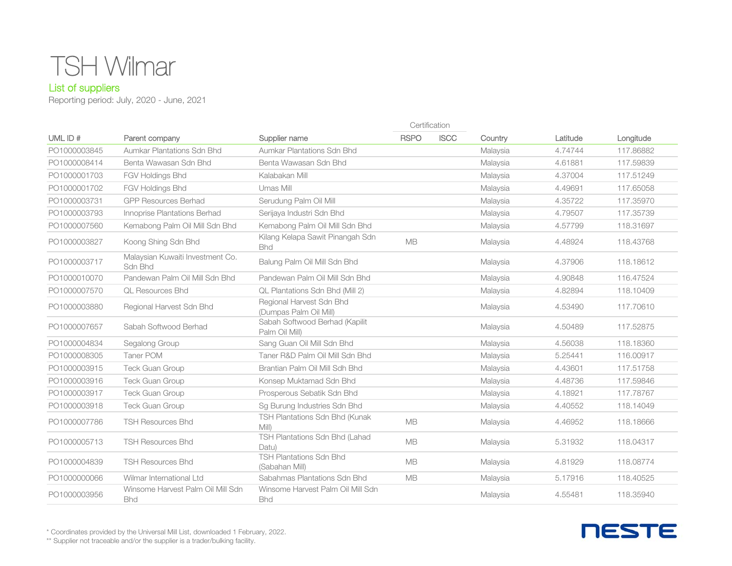

## List of suppliers

Reporting period: July, 2020 - June, 2021

|              |                                                 |                                                    |             | Certification |          |          |           |
|--------------|-------------------------------------------------|----------------------------------------------------|-------------|---------------|----------|----------|-----------|
| UML ID#      | Parent company                                  | Supplier name                                      | <b>RSPO</b> | <b>ISCC</b>   | Country  | Latitude | Longitude |
| PO1000003845 | Aumkar Plantations Sdn Bhd                      | Aumkar Plantations Sdn Bhd                         |             |               | Malaysia | 4.74744  | 117,86882 |
| PO1000008414 | Benta Wawasan Sdn Bhd                           | Benta Wawasan Sdn Bhd                              |             |               | Malaysia | 4.61881  | 117.59839 |
| PO1000001703 | FGV Holdings Bhd                                | Kalabakan Mill                                     |             |               | Malaysia | 4.37004  | 117.51249 |
| PO1000001702 | FGV Holdings Bhd                                | Umas Mill                                          |             |               | Malaysia | 4.49691  | 117.65058 |
| PO1000003731 | <b>GPP Resources Berhad</b>                     | Serudung Palm Oil Mill                             |             |               | Malaysia | 4.35722  | 117.35970 |
| PO1000003793 | Innoprise Plantations Berhad                    | Serijaya Industri Sdn Bhd                          |             |               | Malaysia | 4.79507  | 117,35739 |
| PO1000007560 | Kemabong Palm Oil Mill Sdn Bhd                  | Kemabong Palm Oil Mill Sdn Bhd                     |             |               | Malaysia | 4.57799  | 118.31697 |
| PO1000003827 | Koong Shing Sdn Bhd                             | Kilang Kelapa Sawit Pinangah Sdn<br><b>Bhd</b>     | <b>MB</b>   |               | Malaysia | 4.48924  | 118,43768 |
| PO1000003717 | Malaysian Kuwaiti Investment Co.<br>Sdn Bhd     | Balung Palm Oil Mill Sdn Bhd                       |             |               | Malaysia | 4.37906  | 118.18612 |
| PO1000010070 | Pandewan Palm Oil Mill Sdn Bhd                  | Pandewan Palm Oil Mill Sdn Bhd                     |             |               | Malaysia | 4.90848  | 116.47524 |
| PO1000007570 | <b>QL Resources Bhd</b>                         | QL Plantations Sdn Bhd (Mill 2)                    |             |               | Malaysia | 4.82894  | 118.10409 |
| PO1000003880 | Regional Harvest Sdn Bhd                        | Regional Harvest Sdn Bhd<br>(Dumpas Palm Oil Mill) |             |               | Malaysia | 4.53490  | 117,70610 |
| PO1000007657 | Sabah Softwood Berhad                           | Sabah Softwood Berhad (Kapilit<br>Palm Oil Mill)   |             |               | Malaysia | 4.50489  | 117.52875 |
| PO1000004834 | Segalong Group                                  | Sang Guan Oil Mill Sdn Bhd                         |             |               | Malaysia | 4.56038  | 118,18360 |
| PO1000008305 | Taner POM                                       | Taner R&D Palm Oil Mill Sdn Bhd                    |             |               | Malaysia | 5.25441  | 116,00917 |
| PO1000003915 | <b>Teck Guan Group</b>                          | Brantian Palm Oil Mill Sdh Bhd                     |             |               | Malaysia | 4.43601  | 117.51758 |
| PO1000003916 | <b>Teck Guan Group</b>                          | Konsep Muktamad Sdn Bhd                            |             |               | Malaysia | 4.48736  | 117.59846 |
| PO1000003917 | <b>Teck Guan Group</b>                          | Prosperous Sebatik Sdn Bhd                         |             |               | Malaysia | 4.18921  | 117.78767 |
| PO1000003918 | Teck Guan Group                                 | Sg Burung Industries Sdn Bhd                       |             |               | Malaysia | 4.40552  | 118.14049 |
| PO1000007786 | <b>TSH Resources Bhd</b>                        | TSH Plantations Sdn Bhd (Kunak<br>Mill             | <b>MB</b>   |               | Malaysia | 4.46952  | 118,18666 |
| PO1000005713 | <b>TSH Resources Bhd</b>                        | TSH Plantations Sdn Bhd (Lahad<br>Datu)            | <b>MB</b>   |               | Malaysia | 5.31932  | 118,04317 |
| PO1000004839 | <b>TSH Resources Bhd</b>                        | <b>TSH Plantations Sdn Bhd</b><br>(Sabahan Mill)   | <b>MB</b>   |               | Malaysia | 4.81929  | 118,08774 |
| PO1000000066 | Wilmar International Ltd                        | Sabahmas Plantations Sdn Bhd                       | <b>MB</b>   |               | Malaysia | 5.17916  | 118.40525 |
| PO1000003956 | Winsome Harvest Palm Oil Mill Sdn<br><b>Bhd</b> | Winsome Harvest Palm Oil Mill Sdn<br><b>Bhd</b>    |             |               | Malaysia | 4.55481  | 118,35940 |



\* Coordinates provided by the Universal Mill List, downloaded 1 February, 2022.

\*\* Supplier not traceable and/or the supplier is a trader/bulking facility.